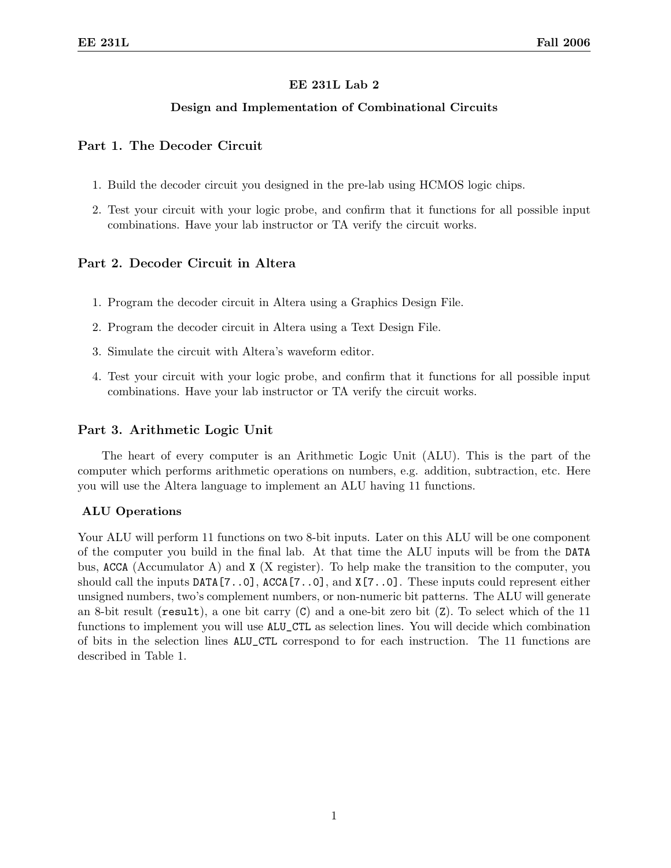# EE 231L Lab 2

## Design and Implementation of Combinational Circuits

## Part 1. The Decoder Circuit

- 1. Build the decoder circuit you designed in the pre-lab using HCMOS logic chips.
- 2. Test your circuit with your logic probe, and confirm that it functions for all possible input combinations. Have your lab instructor or TA verify the circuit works.

# Part 2. Decoder Circuit in Altera

- 1. Program the decoder circuit in Altera using a Graphics Design File.
- 2. Program the decoder circuit in Altera using a Text Design File.
- 3. Simulate the circuit with Altera's waveform editor.
- 4. Test your circuit with your logic probe, and confirm that it functions for all possible input combinations. Have your lab instructor or TA verify the circuit works.

## Part 3. Arithmetic Logic Unit

The heart of every computer is an Arithmetic Logic Unit (ALU). This is the part of the computer which performs arithmetic operations on numbers, e.g. addition, subtraction, etc. Here you will use the Altera language to implement an ALU having 11 functions.

#### ALU Operations

Your ALU will perform 11 functions on two 8-bit inputs. Later on this ALU will be one component of the computer you build in the final lab. At that time the ALU inputs will be from the DATA bus, ACCA (Accumulator A) and X (X register). To help make the transition to the computer, you should call the inputs DATA[7..0], ACCA[7..0], and X[7..0]. These inputs could represent either unsigned numbers, two's complement numbers, or non-numeric bit patterns. The ALU will generate an 8-bit result (result), a one bit carry  $(C)$  and a one-bit zero bit  $(Z)$ . To select which of the 11 functions to implement you will use ALU\_CTL as selection lines. You will decide which combination of bits in the selection lines ALU\_CTL correspond to for each instruction. The 11 functions are described in Table 1.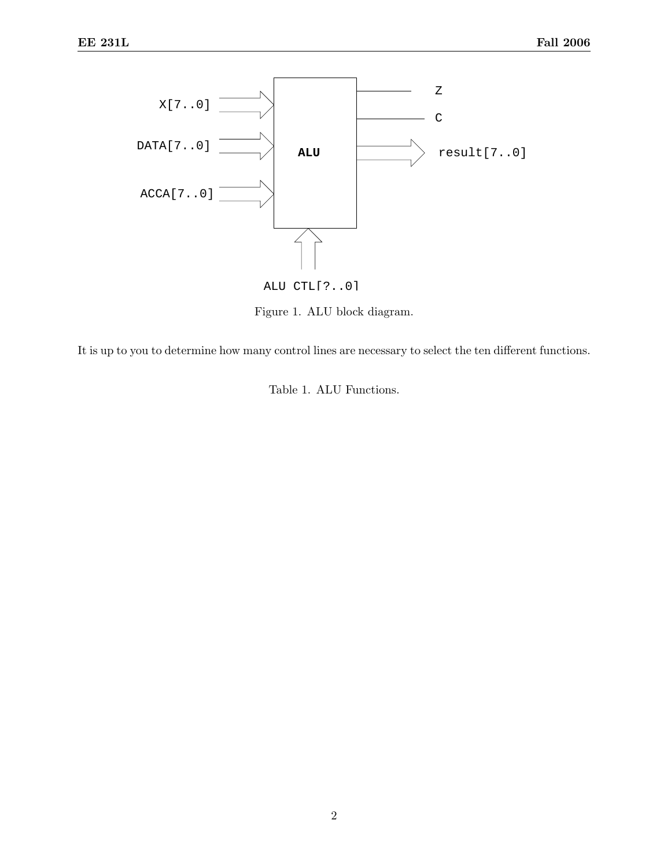

Figure 1. ALU block diagram.

It is up to you to determine how many control lines are necessary to select the ten different functions.

Table 1. ALU Functions.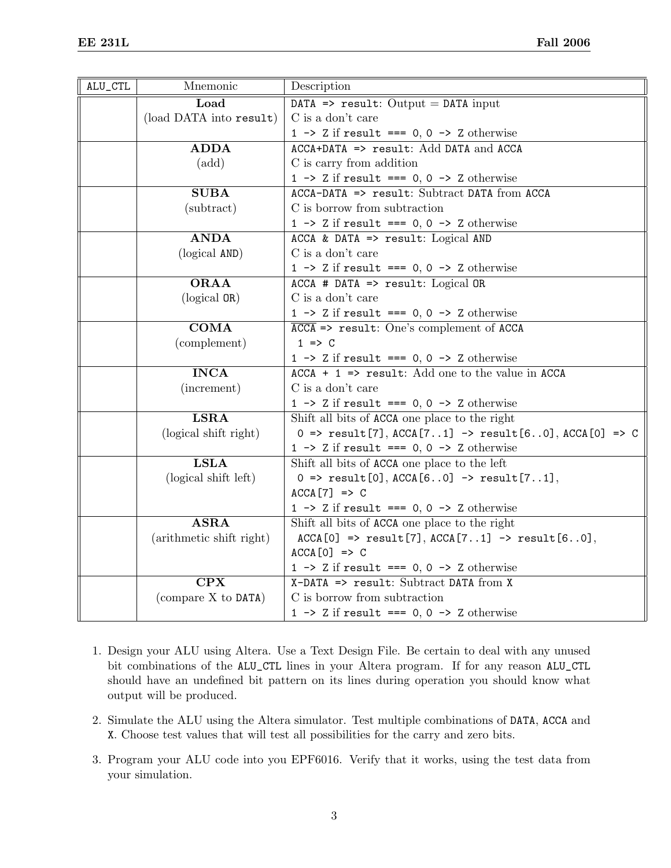| ALU_CTL | Mnemonic                   | Description                                                                                           |
|---------|----------------------------|-------------------------------------------------------------------------------------------------------|
|         | Load                       | DATA => $result: Output = DATA input$                                                                 |
|         | (load DATA into result)    | C is a don't care                                                                                     |
|         |                            | 1 -> $\bar{z}$ if result === 0, 0 -> $\bar{z}$ otherwise                                              |
|         | <b>ADDA</b>                | ACCA+DATA => result: Add DATA and ACCA                                                                |
|         | $(\text{add})$             | C is carry from addition                                                                              |
|         |                            | 1 -> Z if result === $0, 0$ -> Z otherwise                                                            |
|         | <b>SUBA</b>                | ACCA-DATA => result: Subtract DATA from ACCA                                                          |
|         | (subtract)                 | C is borrow from subtraction                                                                          |
|         |                            | 1 -> Z if result === $0, 0$ -> Z otherwise                                                            |
|         | <b>ANDA</b>                | ACCA & DATA => $result:$ Logical AND                                                                  |
|         | (logical AND)              | C is a don't care                                                                                     |
|         |                            | 1 -> Z if result === $0, 0$ -> Z otherwise                                                            |
|         | <b>ORAA</b>                | ACCA # DATA => $result:$ Logical OR                                                                   |
|         | (logical OR)               | C is a don't care                                                                                     |
|         |                            | 1 -> Z if result === $0, 0$ -> Z otherwise                                                            |
|         | $\overline{\mathrm{COMA}}$ | $\overline{ACCA}$ => result: One's complement of ACCA                                                 |
|         | (complement)               | $1 \Rightarrow C$                                                                                     |
|         |                            | 1 -> Z if result === $0, 0$ -> Z otherwise                                                            |
|         | <b>INCA</b>                | $ACCA + 1$ => result: Add one to the value in ACCA                                                    |
|         | (increment)                | C is a don't care                                                                                     |
|         |                            | 1 -> Z if result === $0, 0$ -> Z otherwise                                                            |
|         | <b>LSRA</b>                | Shift all bits of ACCA one place to the right                                                         |
|         | (logical shift right)      | 0 => $result[7], ACCA[71]$ -> $result[60], ACCA[0]$ => C                                              |
|         |                            | 1 -> Z if result === $0, 0$ -> Z otherwise                                                            |
|         | <b>LSLA</b>                | Shift all bits of ACCA one place to the left                                                          |
|         | (logical shift left)       | $0 \Rightarrow \text{result}[0], \text{ACCA}[60] \Rightarrow \text{result}[71],$                      |
|         |                            | $ACCA [7] \Rightarrow C$                                                                              |
|         |                            | 1 -> Z if result === $0, 0$ -> Z otherwise                                                            |
|         | <b>ASRA</b>                | Shift all bits of ACCA one place to the right                                                         |
|         | (arithmetic shift right)   | $\texttt{ACCA[0]} \Rightarrow \texttt{result[7]}, \texttt{ACCA[71]} \Rightarrow \texttt{result[60]},$ |
|         |                            | $ACCA[0]$ => C                                                                                        |
|         |                            | 1 -> Z if result === $0, 0$ -> Z otherwise                                                            |
|         | $\overline{\text{CPX}}$    | $X-DATA \Rightarrow result: Subtract DATA from X$                                                     |
|         | (compare X to DATA)        | C is borrow from subtraction                                                                          |
|         |                            | 1 -> Z if result === $0, 0$ -> Z otherwise                                                            |

- 1. Design your ALU using Altera. Use a Text Design File. Be certain to deal with any unused bit combinations of the ALU\_CTL lines in your Altera program. If for any reason ALU\_CTL should have an undefined bit pattern on its lines during operation you should know what output will be produced.
- 2. Simulate the ALU using the Altera simulator. Test multiple combinations of DATA, ACCA and X. Choose test values that will test all possibilities for the carry and zero bits.
- 3. Program your ALU code into you EPF6016. Verify that it works, using the test data from your simulation.